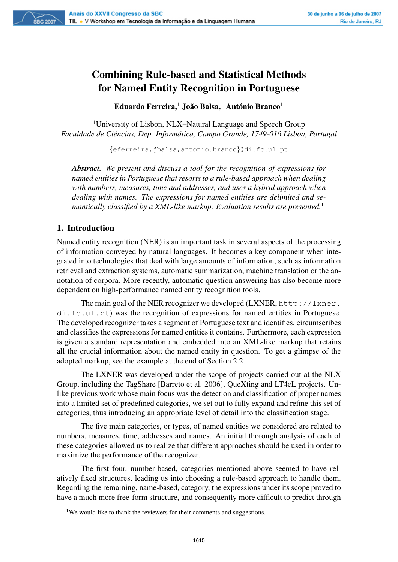# Combining Rule-based and Statistical Methods for Named Entity Recognition in Portuguese

Eduardo Ferreira, $^1$  João Balsa, $^1$  António Branco $^1$ 

<sup>1</sup>University of Lisbon, NLX–Natural Language and Speech Group *Faculdade de Ciências, Dep. Informática, Campo Grande, 1749-016 Lisboa, Portugal* 

{eferreira,jbalsa,antonio.branco}@di.fc.ul.pt

*Abstract. We present and discuss a tool for the recognition of expressions for named entities in Portuguese that resorts to a rule-based approach when dealing with numbers, measures, time and addresses, and uses a hybrid approach when dealing with names. The expressions for named entities are delimited and semantically classified by a XML-like markup. Evaluation results are presented.*<sup>1</sup>

## 1. Introduction

**SBC 2007** 

Named entity recognition (NER) is an important task in several aspects of the processing of information conveyed by natural languages. It becomes a key component when integrated into technologies that deal with large amounts of information, such as information retrieval and extraction systems, automatic summarization, machine translation or the annotation of corpora. More recently, automatic question answering has also become more dependent on high-performance named entity recognition tools.

The main goal of the NER recognizer we developed (LXNER, http://lxner. di.fc.ul.pt) was the recognition of expressions for named entities in Portuguese. The developed recognizer takes a segment of Portuguese text and identifies, circumscribes and classifies the expressions for named entities it contains. Furthermore, each expression is given a standard representation and embedded into an XML-like markup that retains all the crucial information about the named entity in question. To get a glimpse of the adopted markup, see the example at the end of Section 2.2.

The LXNER was developed under the scope of projects carried out at the NLX Group, including the TagShare [Barreto et al. 2006], QueXting and LT4eL projects. Unlike previous work whose main focus was the detection and classification of proper names into a limited set of predefined categories, we set out to fully expand and refine this set of categories, thus introducing an appropriate level of detail into the classification stage.

The five main categories, or types, of named entities we considered are related to numbers, measures, time, addresses and names. An initial thorough analysis of each of these categories allowed us to realize that different approaches should be used in order to maximize the performance of the recognizer.

The first four, number-based, categories mentioned above seemed to have relatively fixed structures, leading us into choosing a rule-based approach to handle them. Regarding the remaining, name-based, category, the expressions under its scope proved to have a much more free-form structure, and consequently more difficult to predict through

<sup>&</sup>lt;sup>1</sup>We would like to thank the reviewers for their comments and suggestions.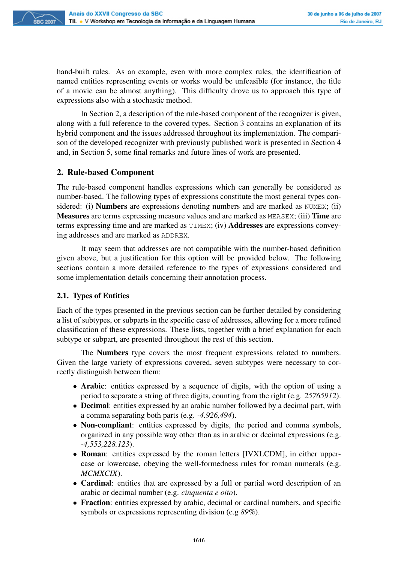

hand-built rules. As an example, even with more complex rules, the identification of named entities representing events or works would be unfeasible (for instance, the title of a movie can be almost anything). This difficulty drove us to approach this type of expressions also with a stochastic method.

In Section 2, a description of the rule-based component of the recognizer is given, along with a full reference to the covered types. Section 3 contains an explanation of its hybrid component and the issues addressed throughout its implementation. The comparison of the developed recognizer with previously published work is presented in Section 4 and, in Section 5, some final remarks and future lines of work are presented.

## 2. Rule-based Component

The rule-based component handles expressions which can generally be considered as number-based. The following types of expressions constitute the most general types considered: (i) **Numbers** are expressions denoting numbers and are marked as NUMEX; (ii) Measures are terms expressing measure values and are marked as MEASEX; (iii) Time are terms expressing time and are marked as TIMEX; (iv) Addresses are expressions conveying addresses and are marked as ADDREX.

It may seem that addresses are not compatible with the number-based definition given above, but a justification for this option will be provided below. The following sections contain a more detailed reference to the types of expressions considered and some implementation details concerning their annotation process.

#### 2.1. Types of Entities

Each of the types presented in the previous section can be further detailed by considering a list of subtypes, or subparts in the specific case of addresses, allowing for a more refined classification of these expressions. These lists, together with a brief explanation for each subtype or subpart, are presented throughout the rest of this section.

The Numbers type covers the most frequent expressions related to numbers. Given the large variety of expressions covered, seven subtypes were necessary to correctly distinguish between them:

- Arabic: entities expressed by a sequence of digits, with the option of using a period to separate a string of three digits, counting from the right (e.g. *25765912*).
- Decimal: entities expressed by an arabic number followed by a decimal part, with a comma separating both parts (e.g. *-4.926,494*).
- Non-compliant: entities expressed by digits, the period and comma symbols, organized in any possible way other than as in arabic or decimal expressions (e.g. *-4,553,228.123*).
- Roman: entities expressed by the roman letters [IVXLCDM], in either uppercase or lowercase, obeying the well-formedness rules for roman numerals (e.g. *MCMXCIX*).
- Cardinal: entities that are expressed by a full or partial word description of an arabic or decimal number (e.g. *cinquenta e oito*).
- Fraction: entities expressed by arabic, decimal or cardinal numbers, and specific symbols or expressions representing division (e.g *89%*).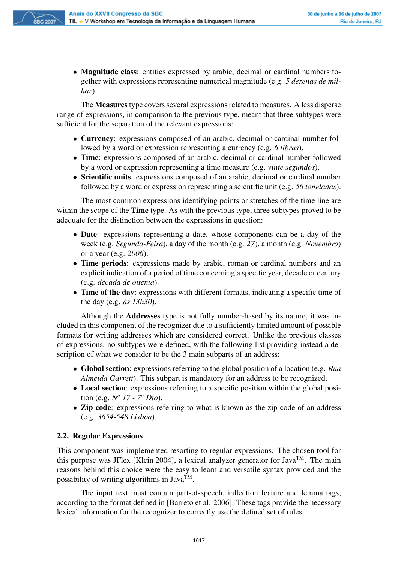

• Magnitude class: entities expressed by arabic, decimal or cardinal numbers together with expressions representing numerical magnitude (e.g. *5 dezenas de milhar*).

The **Measures** type covers several expressions related to measures. A less disperse range of expressions, in comparison to the previous type, meant that three subtypes were sufficient for the separation of the relevant expressions:

- Currency: expressions composed of an arabic, decimal or cardinal number followed by a word or expression representing a currency (e.g. *6 libras*).
- Time: expressions composed of an arabic, decimal or cardinal number followed by a word or expression representing a time measure (e.g. *vinte segundos*).
- Scientific units: expressions composed of an arabic, decimal or cardinal number followed by a word or expression representing a scientific unit (e.g. *56 toneladas*).

The most common expressions identifying points or stretches of the time line are within the scope of the **Time** type. As with the previous type, three subtypes proved to be adequate for the distinction between the expressions in question:

- Date: expressions representing a date, whose components can be a day of the week (e.g. *Segunda-Feira*), a day of the month (e.g. *27*), a month (e.g. *Novembro*) or a year (e.g. *2006*).
- Time periods: expressions made by arabic, roman or cardinal numbers and an explicit indication of a period of time concerning a specific year, decade or century (e.g. *decada de oitenta ´* ).
- Time of the day: expressions with different formats, indicating a specific time of the day (e.g. *as 13h30 `* ).

Although the Addresses type is not fully number-based by its nature, it was included in this component of the recognizer due to a sufficiently limited amount of possible formats for writing addresses which are considered correct. Unlike the previous classes of expressions, no subtypes were defined, with the following list providing instead a description of what we consider to be the 3 main subparts of an address:

- Global section: expressions referring to the global position of a location (e.g. *Rua Almeida Garrett*). This subpart is mandatory for an address to be recognized.
- Local section: expressions referring to a specific position within the global position (e.g. *N <sup>o</sup> 17 - 7<sup>o</sup> Dto*).
- Zip code: expressions referring to what is known as the zip code of an address (e.g. *3654-548 Lisboa*).

# 2.2. Regular Expressions

This component was implemented resorting to regular expressions. The chosen tool for this purpose was JFlex [Klein 2004], a lexical analyzer generator for Java<sup>TM</sup>. The main reasons behind this choice were the easy to learn and versatile syntax provided and the possibility of writing algorithms in Java<sup>TM</sup>.

The input text must contain part-of-speech, inflection feature and lemma tags, according to the format defined in [Barreto et al. 2006]. These tags provide the necessary lexical information for the recognizer to correctly use the defined set of rules.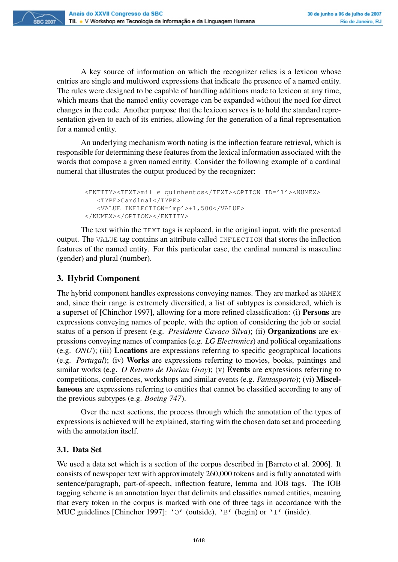A key source of information on which the recognizer relies is a lexicon whose entries are single and multiword expressions that indicate the presence of a named entity. The rules were designed to be capable of handling additions made to lexicon at any time, which means that the named entity coverage can be expanded without the need for direct changes in the code. Another purpose that the lexicon serves is to hold the standard representation given to each of its entries, allowing for the generation of a final representation for a named entity.

An underlying mechanism worth noting is the inflection feature retrieval, which is responsible for determining these features from the lexical information associated with the words that compose a given named entity. Consider the following example of a cardinal numeral that illustrates the output produced by the recognizer:

```
<ENTITY><TEXT>mil e quinhentos</TEXT><OPTION ID='1'><NUMEX>
  <TYPE>Cardinal</TYPE>
   <VALUE INFLECTION='mp'>+1,500</VALUE>
</NUMEX></OPTION></ENTITY>
```
The text within the TEXT tags is replaced, in the original input, with the presented output. The VALUE tag contains an attribute called INFLECTION that stores the inflection features of the named entity. For this particular case, the cardinal numeral is masculine (gender) and plural (number).

# 3. Hybrid Component

The hybrid component handles expressions conveying names. They are marked as NAMEX and, since their range is extremely diversified, a list of subtypes is considered, which is a superset of [Chinchor 1997], allowing for a more refined classification: (i) Persons are expressions conveying names of people, with the option of considering the job or social status of a person if present (e.g. *Presidente Cavaco Silva*); (ii) Organizations are expressions conveying names of companies (e.g. *LG Electronics*) and political organizations (e.g. *ONU*); (iii) Locations are expressions referring to specific geographical locations (e.g. *Portugal*); (iv) Works are expressions referring to movies, books, paintings and similar works (e.g. *O Retrato de Dorian Gray*); (v) Events are expressions referring to competitions, conferences, workshops and similar events (e.g. *Fantasporto*); (vi) Miscellaneous are expressions referring to entities that cannot be classified according to any of the previous subtypes (e.g. *Boeing 747*).

Over the next sections, the process through which the annotation of the types of expressions is achieved will be explained, starting with the chosen data set and proceeding with the annotation itself.

#### 3.1. Data Set

We used a data set which is a section of the corpus described in [Barreto et al. 2006]. It consists of newspaper text with approximately 260,000 tokens and is fully annotated with sentence/paragraph, part-of-speech, inflection feature, lemma and IOB tags. The IOB tagging scheme is an annotation layer that delimits and classifies named entities, meaning that every token in the corpus is marked with one of three tags in accordance with the MUC guidelines [Chinchor 1997]: 'O' (outside), 'B' (begin) or 'I' (inside).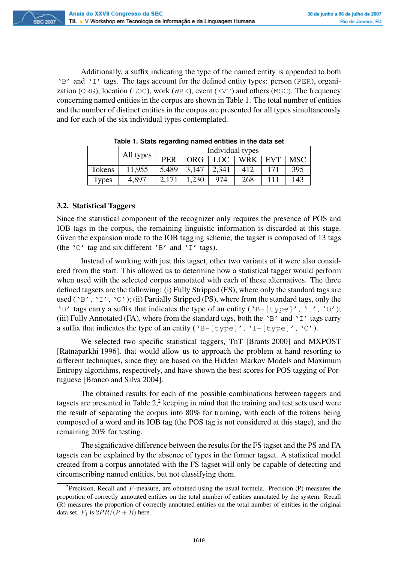Additionally, a suffix indicating the type of the named entity is appended to both 'B' and 'I' tags. The tags account for the defined entity types: person (PER), organization (ORG), location (LOC), work (WRK), event (EVT) and others (MSC). The frequency concerning named entities in the corpus are shown in Table 1. The total number of entities and the number of distinct entities in the corpus are presented for all types simultaneously and for each of the six individual types contemplated.

| Table 1. Stats regarding hanned entitles in the data set |           |            |       |                  |     |            |            |  |
|----------------------------------------------------------|-----------|------------|-------|------------------|-----|------------|------------|--|
|                                                          | All types |            |       | Individual types |     |            |            |  |
|                                                          |           | <b>PER</b> | ORG.  | LOC <sup>1</sup> | WRK | <b>EVT</b> | <b>MSC</b> |  |
| Tokens                                                   | 11.955    | 5.489      | 3.147 | 2,341            | 412 | 171        | 395        |  |
| <b>Types</b>                                             | 4,897     | 2,171      | 1,230 | 974              | 268 | 111        | 143        |  |

**Table 1. Stats regarding named entities in the data set**

#### 3.2. Statistical Taggers

**SBC 2007** 

Since the statistical component of the recognizer only requires the presence of POS and IOB tags in the corpus, the remaining linguistic information is discarded at this stage. Given the expansion made to the IOB tagging scheme, the tagset is composed of 13 tags (the ' $\circ$ ' tag and six different ' $\circ$ ' and ' $\circ$ ' tags).

Instead of working with just this tagset, other two variants of it were also considered from the start. This allowed us to determine how a statistical tagger would perform when used with the selected corpus annotated with each of these alternatives. The three defined tagsets are the following: (i) Fully Stripped (FS), where only the standard tags are used ( $'B'$ ,  $'I'$ ,  $'O'$ ); (ii) Partially Stripped (PS), where from the standard tags, only the 'B' tags carry a suffix that indicates the type of an entity ('B-[type]', 'I', 'O'); (iii) Fully Annotated (FA), where from the standard tags, both the 'B' and 'I' tags carry a suffix that indicates the type of an entity ('B-[type]', 'I-[type]', 'O').

We selected two specific statistical taggers, TnT [Brants 2000] and MXPOST [Ratnaparkhi 1996], that would allow us to approach the problem at hand resorting to different techniques, since they are based on the Hidden Markov Models and Maximum Entropy algorithms, respectively, and have shown the best scores for POS tagging of Portuguese [Branco and Silva 2004].

The obtained results for each of the possible combinations between taggers and tagsets are presented in Table  $2<sup>2</sup>$  keeping in mind that the training and test sets used were the result of separating the corpus into 80% for training, with each of the tokens being composed of a word and its IOB tag (the POS tag is not considered at this stage), and the remaining 20% for testing.

The significative difference between the results for the FS tagset and the PS and FA tagsets can be explained by the absence of types in the former tagset. A statistical model created from a corpus annotated with the FS tagset will only be capable of detecting and circumscribing named entities, but not classifying them.

<sup>&</sup>lt;sup>2</sup>Precision, Recall and  $F$ -measure, are obtained using the usual formula. Precision (P) measures the proportion of correctly annotated entities on the total number of entities annotated by the system. Recall (R) measures the proportion of correctly annotated entities on the total number of entities in the original data set.  $F_1$  is  $2PR/(P + R)$  here.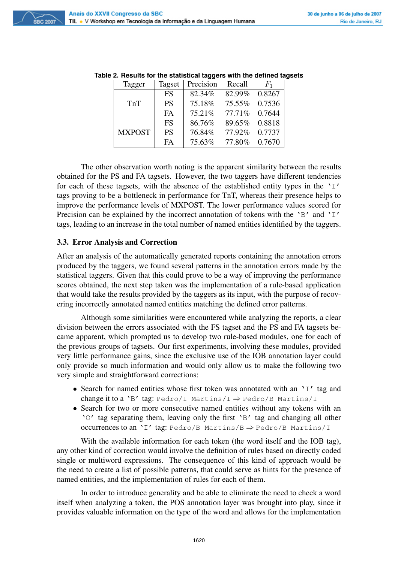**SBC 2007** 

| Tagger        |           | Tagset   Precision Recall |                        |        |  |
|---------------|-----------|---------------------------|------------------------|--------|--|
|               | <b>FS</b> |                           | 82.34\% 82.99\% 0.8267 |        |  |
| TnT           | <b>PS</b> | 75.18% 75.55% 0.7536      |                        |        |  |
|               | FA        |                           | 75.21\% 77.71\% 0.7644 |        |  |
|               | <b>FS</b> |                           | 86.76% 89.65% 0.8818   |        |  |
| <b>MXPOST</b> | <b>PS</b> |                           | 76.84% 77.92% 0.7737   |        |  |
|               | FA        |                           | 75.63% 77.80%          | 0.7670 |  |

**Table 2. Results for the statistical taggers with the defined tagsets**

The other observation worth noting is the apparent similarity between the results obtained for the PS and FA tagsets. However, the two taggers have different tendencies for each of these tagsets, with the absence of the established entity types in the 'I' tags proving to be a bottleneck in performance for TnT, whereas their presence helps to improve the performance levels of MXPOST. The lower performance values scored for Precision can be explained by the incorrect annotation of tokens with the 'B' and 'I' tags, leading to an increase in the total number of named entities identified by the taggers.

#### 3.3. Error Analysis and Correction

After an analysis of the automatically generated reports containing the annotation errors produced by the taggers, we found several patterns in the annotation errors made by the statistical taggers. Given that this could prove to be a way of improving the performance scores obtained, the next step taken was the implementation of a rule-based application that would take the results provided by the taggers as its input, with the purpose of recovering incorrectly annotated named entities matching the defined error patterns.

Although some similarities were encountered while analyzing the reports, a clear division between the errors associated with the FS tagset and the PS and FA tagsets became apparent, which prompted us to develop two rule-based modules, one for each of the previous groups of tagsets. Our first experiments, involving these modules, provided very little performance gains, since the exclusive use of the IOB annotation layer could only provide so much information and would only allow us to make the following two very simple and straightforward corrections:

- Search for named entities whose first token was annotated with an 'I' tag and change it to a 'B' tag: Pedro/I Martins/I  $\Rightarrow$  Pedro/B Martins/I
- Search for two or more consecutive named entities without any tokens with an 'O' tag separating them, leaving only the first 'B' tag and changing all other occurrences to an 'I' tag: Pedro/B Martins/B  $\Rightarrow$  Pedro/B Martins/I

With the available information for each token (the word itself and the IOB tag), any other kind of correction would involve the definition of rules based on directly coded single or multiword expressions. The consequence of this kind of approach would be the need to create a list of possible patterns, that could serve as hints for the presence of named entities, and the implementation of rules for each of them.

In order to introduce generality and be able to eliminate the need to check a word itself when analyzing a token, the POS annotation layer was brought into play, since it provides valuable information on the type of the word and allows for the implementation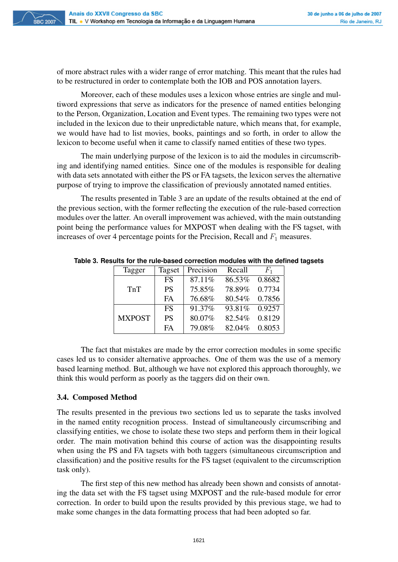of more abstract rules with a wider range of error matching. This meant that the rules had to be restructured in order to contemplate both the IOB and POS annotation layers.

Moreover, each of these modules uses a lexicon whose entries are single and multiword expressions that serve as indicators for the presence of named entities belonging to the Person, Organization, Location and Event types. The remaining two types were not included in the lexicon due to their unpredictable nature, which means that, for example, we would have had to list movies, books, paintings and so forth, in order to allow the lexicon to become useful when it came to classify named entities of these two types.

The main underlying purpose of the lexicon is to aid the modules in circumscribing and identifying named entities. Since one of the modules is responsible for dealing with data sets annotated with either the PS or FA tagsets, the lexicon serves the alternative purpose of trying to improve the classification of previously annotated named entities.

The results presented in Table 3 are an update of the results obtained at the end of the previous section, with the former reflecting the execution of the rule-based correction modules over the latter. An overall improvement was achieved, with the main outstanding point being the performance values for MXPOST when dealing with the FS tagset, with increases of over 4 percentage points for the Precision, Recall and  $F_1$  measures.

| Tagger        | Tagset    | Precision | Recall         | $F_{1}$ |
|---------------|-----------|-----------|----------------|---------|
|               | <b>FS</b> | 87.11\%   | 86.53%         | 0.8682  |
| TnT           | <b>PS</b> | 75.85%    | 78.89%         | 0.7734  |
|               | <b>FA</b> | 76.68%    | 80.54%         | 0.7856  |
|               | <b>FS</b> | 91.37%    | 93.81\% 0.9257 |         |
| <b>MXPOST</b> | <b>PS</b> | 80.07%    | 82.54%         | 0.8129  |
|               | <b>FA</b> | 79.08%    | 82.04%         | 0.8053  |

**Table 3. Results for the rule-based correction modules with the defined tagsets**

The fact that mistakes are made by the error correction modules in some specific cases led us to consider alternative approaches. One of them was the use of a memory based learning method. But, although we have not explored this approach thoroughly, we think this would perform as poorly as the taggers did on their own.

#### 3.4. Composed Method

The results presented in the previous two sections led us to separate the tasks involved in the named entity recognition process. Instead of simultaneously circumscribing and classifying entities, we chose to isolate these two steps and perform them in their logical order. The main motivation behind this course of action was the disappointing results when using the PS and FA tagsets with both taggers (simultaneous circumscription and classification) and the positive results for the FS tagset (equivalent to the circumscription task only).

The first step of this new method has already been shown and consists of annotating the data set with the FS tagset using MXPOST and the rule-based module for error correction. In order to build upon the results provided by this previous stage, we had to make some changes in the data formatting process that had been adopted so far.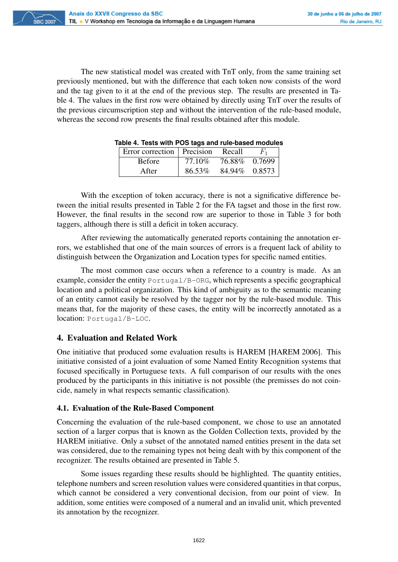The new statistical model was created with TnT only, from the same training set previously mentioned, but with the difference that each token now consists of the word and the tag given to it at the end of the previous step. The results are presented in Table 4. The values in the first row were obtained by directly using TnT over the results of the previous circumscription step and without the intervention of the rule-based module, whereas the second row presents the final results obtained after this module.

| able 4. Tests with POS tags and rule-based module |         |               |         |
|---------------------------------------------------|---------|---------------|---------|
| Error correction   Precision Recall               |         |               | $F_{1}$ |
| <b>Before</b>                                     | 77.10\% | 76.88% 0.7699 |         |
| After                                             | 86.53%  | 84.94% 0.8573 |         |

|  | Table 4. Tests with POS tags and rule-based modules |  |  |  |  |  |  |  |  |  |
|--|-----------------------------------------------------|--|--|--|--|--|--|--|--|--|
|--|-----------------------------------------------------|--|--|--|--|--|--|--|--|--|

With the exception of token accuracy, there is not a significative difference between the initial results presented in Table 2 for the FA tagset and those in the first row. However, the final results in the second row are superior to those in Table 3 for both taggers, although there is still a deficit in token accuracy.

After reviewing the automatically generated reports containing the annotation errors, we established that one of the main sources of errors is a frequent lack of ability to distinguish between the Organization and Location types for specific named entities.

The most common case occurs when a reference to a country is made. As an example, consider the entity Portugal/B-ORG, which represents a specific geographical location and a political organization. This kind of ambiguity as to the semantic meaning of an entity cannot easily be resolved by the tagger nor by the rule-based module. This means that, for the majority of these cases, the entity will be incorrectly annotated as a location: Portugal/B-LOC.

# 4. Evaluation and Related Work

One initiative that produced some evaluation results is HAREM [HAREM 2006]. This initiative consisted of a joint evaluation of some Named Entity Recognition systems that focused specifically in Portuguese texts. A full comparison of our results with the ones produced by the participants in this initiative is not possible (the premisses do not coincide, namely in what respects semantic classification).

# 4.1. Evaluation of the Rule-Based Component

Concerning the evaluation of the rule-based component, we chose to use an annotated section of a larger corpus that is known as the Golden Collection texts, provided by the HAREM initiative. Only a subset of the annotated named entities present in the data set was considered, due to the remaining types not being dealt with by this component of the recognizer. The results obtained are presented in Table 5.

Some issues regarding these results should be highlighted. The quantity entities, telephone numbers and screen resolution values were considered quantities in that corpus, which cannot be considered a very conventional decision, from our point of view. In addition, some entities were composed of a numeral and an invalid unit, which prevented its annotation by the recognizer.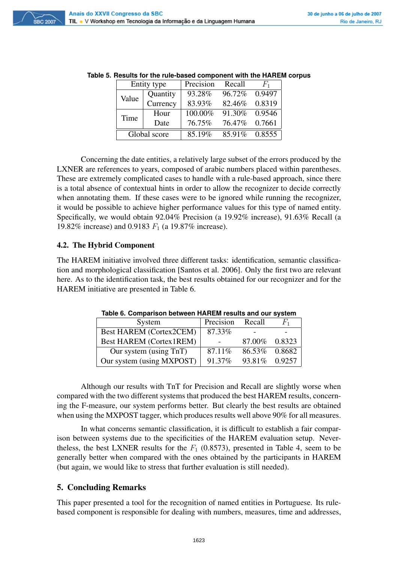|      | Entity type       |        | Recall         | $F_{1}$ |
|------|-------------------|--------|----------------|---------|
|      | Quantity<br>Value |        | 96.72% 0.9497  |         |
|      | Currency          | 83.93% | 82.46% 0.8319  |         |
| Time | Hour              |        | 91.30\% 0.9546 |         |
|      | Date              | 76.75% | 76.47\% 0.7661 |         |
|      | Global score      | 85.19% | 85.91\% 0.8555 |         |

**Table 5. Results for the rule-based component with the HAREM corpus**

Concerning the date entities, a relatively large subset of the errors produced by the LXNER are references to years, composed of arabic numbers placed within parentheses. These are extremely complicated cases to handle with a rule-based approach, since there is a total absence of contextual hints in order to allow the recognizer to decide correctly when annotating them. If these cases were to be ignored while running the recognizer, it would be possible to achieve higher performance values for this type of named entity. Specifically, we would obtain 92.04% Precision (a 19.92% increase), 91.63% Recall (a 19.82% increase) and 0.9183  $F_1$  (a 19.87% increase).

#### 4.2. The Hybrid Component

The HAREM initiative involved three different tasks: identification, semantic classification and morphological classification [Santos et al. 2006]. Only the first two are relevant here. As to the identification task, the best results obtained for our recognizer and for the HAREM initiative are presented in Table 6.

| System                         | Precision | Recall        | $F_{1}$ |
|--------------------------------|-----------|---------------|---------|
| <b>Best HAREM (Cortex2CEM)</b> | 87.33%    |               |         |
| <b>Best HAREM (Cortex1REM)</b> |           | 87.00% 0.8323 |         |
| Our system (using TnT)         | 87.11\%   | 86.53% 0.8682 |         |
| Our system (using MXPOST)      | 91.37%    | 93.81%        | 0.9257  |

**Table 6. Comparison between HAREM results and our system**

Although our results with TnT for Precision and Recall are slightly worse when compared with the two different systems that produced the best HAREM results, concerning the F-measure, our system performs better. But clearly the best results are obtained when using the MXPOST tagger, which produces results well above 90% for all measures.

In what concerns semantic classification, it is difficult to establish a fair comparison between systems due to the specificities of the HAREM evaluation setup. Nevertheless, the best LXNER results for the  $F_1$  (0.8573), presented in Table 4, seem to be generally better when compared with the ones obtained by the participants in HAREM (but again, we would like to stress that further evaluation is still needed).

# 5. Concluding Remarks

This paper presented a tool for the recognition of named entities in Portuguese. Its rulebased component is responsible for dealing with numbers, measures, time and addresses,